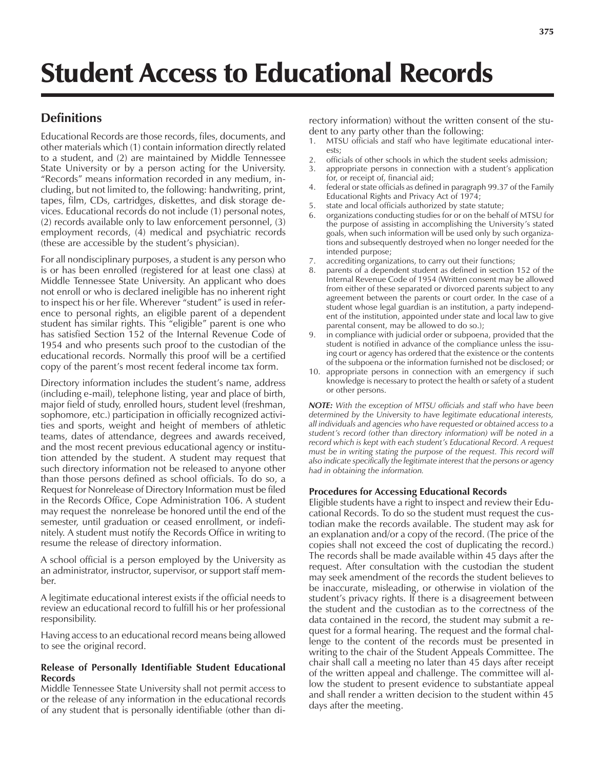# Student Access to Educational Records

### **Definitions**

Educational Records are those records, files, documents, and other materials which (1) contain information directly related to a student, and (2) are maintained by Middle Tennessee State University or by a person acting for the University. "Records" means information recorded in any medium, including, but not limited to, the following: handwriting, print, tapes, film, CDs, cartridges, diskettes, and disk storage devices. Educational records do not include (1) personal notes, (2) records available only to law enforcement personnel, (3) employment records, (4) medical and psychiatric records (these are accessible by the student's physician).

For all nondisciplinary purposes, a student is any person who is or has been enrolled (registered for at least one class) at Middle Tennessee State University. An applicant who does not enroll or who is declared ineligible has no inherent right to inspect his or her file. Wherever "student" is used in reference to personal rights, an eligible parent of a dependent student has similar rights. This "eligible" parent is one who has satisfied Section 152 of the Internal Revenue Code of 1954 and who presents such proof to the custodian of the educational records. Normally this proof will be a certified copy of the parent's most recent federal income tax form.

Directory information includes the student's name, address (including e-mail), telephone listing, year and place of birth, major field of study, enrolled hours, student level (freshman, sophomore, etc.) participation in officially recognized activities and sports, weight and height of members of athletic teams, dates of attendance, degrees and awards received, and the most recent previous educational agency or institution attended by the student. A student may request that such directory information not be released to anyone other than those persons defined as school officials. To do so, a Request for Nonrelease of Directory Information must be filed in the Records Office, Cope Administration 106. A student may request the nonrelease be honored until the end of the semester, until graduation or ceased enrollment, or indefinitely. A student must notify the Records Office in writing to resume the release of directory information.

A school official is a person employed by the University as an administrator, instructor, supervisor, or support staff member.

A legitimate educational interest exists if the official needs to review an educational record to fulfill his or her professional responsibility.

Having access to an educational record means being allowed to see the original record.

#### **Release of Personally Identifiable Student Educational Records**

Middle Tennessee State University shall not permit access to or the release of any information in the educational records of any student that is personally identifiable (other than directory information) without the written consent of the student to any party other than the following:

- MTSU officials and staff who have legitimate educational interests;
- 2. officials of other schools in which the student seeks admission;
- appropriate persons in connection with a student's application for, or receipt of, financial aid;
- 4. federal or state officials as defined in paragraph 99.37 of the Family Educational Rights and Privacy Act of 1974;
- 5. state and local officials authorized by state statute;
- organizations conducting studies for or on the behalf of MTSU for the purpose of assisting in accomplishing the University's stated goals, when such information will be used only by such organizations and subsequently destroyed when no longer needed for the intended purpose;
- 7. accrediting organizations, to carry out their functions;
- 8. parents of a dependent student as defined in section 152 of the Internal Revenue Code of 1954 (Written consent may be allowed from either of these separated or divorced parents subject to any agreement between the parents or court order. In the case of a student whose legal guardian is an institution, a party independent of the institution, appointed under state and local law to give parental consent, may be allowed to do so.);
- 9. in compliance with judicial order or subpoena, provided that the student is notified in advance of the compliance unless the issuing court or agency has ordered that the existence or the contents of the subpoena or the information furnished not be disclosed; or
- 10. appropriate persons in connection with an emergency if such knowledge is necessary to protect the health or safety of a student or other persons.

*NOTE: With the exception of MTSU officials and staff who have been determined by the University to have legitimate educational interests, all individuals and agencies who have requested or obtained access to a studentís record (other than directory information) will be noted in a* record which is kept with each student's Educational Record. A request *must be in writing stating the purpose of the request. This record will also indicate specifically the legitimate interest that the persons or agency had in obtaining the information.*

#### **Procedures for Accessing Educational Records**

Eligible students have a right to inspect and review their Educational Records. To do so the student must request the custodian make the records available. The student may ask for an explanation and/or a copy of the record. (The price of the copies shall not exceed the cost of duplicating the record.) The records shall be made available within 45 days after the request. After consultation with the custodian the student may seek amendment of the records the student believes to be inaccurate, misleading, or otherwise in violation of the student's privacy rights. If there is a disagreement between the student and the custodian as to the correctness of the data contained in the record, the student may submit a request for a formal hearing. The request and the formal challenge to the content of the records must be presented in writing to the chair of the Student Appeals Committee. The chair shall call a meeting no later than 45 days after receipt of the written appeal and challenge. The committee will allow the student to present evidence to substantiate appeal and shall render a written decision to the student within 45 days after the meeting.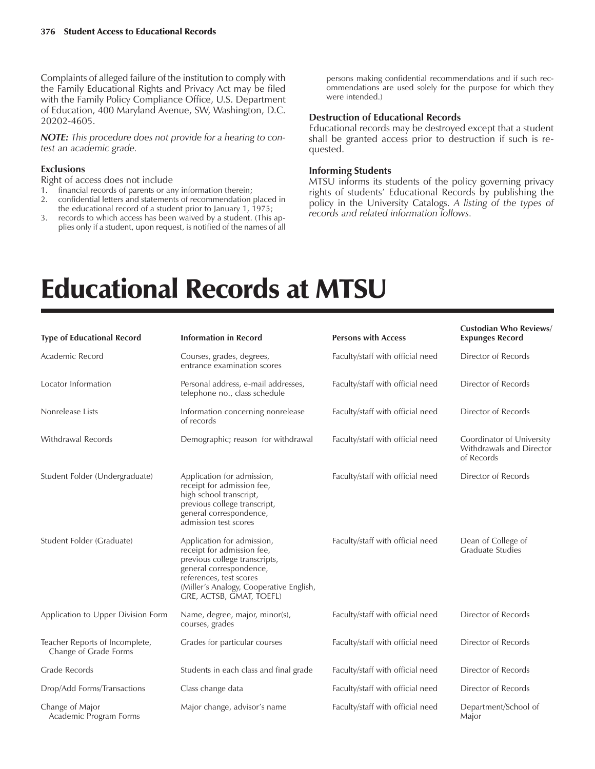Complaints of alleged failure of the institution to comply with the Family Educational Rights and Privacy Act may be filed with the Family Policy Compliance Office, U.S. Department of Education, 400 Maryland Avenue, SW, Washington, D.C. 20202-4605.

*NOTE: This procedure does not provide for a hearing to contest an academic grade.*

#### **Exclusions**

Right of access does not include

- 1. financial records of parents or any information therein;
- 2. confidential letters and statements of recommendation placed in the educational record of a student prior to January 1, 1975;
- 3. records to which access has been waived by a student. (This applies only if a student, upon request, is notified of the names of all

persons making confidential recommendations and if such recommendations are used solely for the purpose for which they were intended.)

#### **Destruction of Educational Records**

Educational records may be destroyed except that a student shall be granted access prior to destruction if such is requested.

#### **Informing Students**

MTSU informs its students of the policy governing privacy rights of students' Educational Records by publishing the policy in the University Catalogs. *A listing of the types of records and related information follows.*

## Educational Records at MTSU

| <b>Type of Educational Record</b>                       | <b>Information in Record</b>                                                                                                                                                                                           | <b>Persons with Access</b>       | <b>Custodian Who Reviews/</b><br><b>Expunges Record</b>             |
|---------------------------------------------------------|------------------------------------------------------------------------------------------------------------------------------------------------------------------------------------------------------------------------|----------------------------------|---------------------------------------------------------------------|
| Academic Record                                         | Courses, grades, degrees,<br>entrance examination scores                                                                                                                                                               | Faculty/staff with official need | Director of Records                                                 |
| Locator Information                                     | Personal address, e-mail addresses,<br>telephone no., class schedule                                                                                                                                                   | Faculty/staff with official need | Director of Records                                                 |
| Nonrelease Lists                                        | Information concerning nonrelease<br>of records                                                                                                                                                                        | Faculty/staff with official need | Director of Records                                                 |
| <b>Withdrawal Records</b>                               | Demographic; reason for withdrawal                                                                                                                                                                                     | Faculty/staff with official need | Coordinator of University<br>Withdrawals and Director<br>of Records |
| Student Folder (Undergraduate)                          | Application for admission,<br>receipt for admission fee,<br>high school transcript,<br>previous college transcript,<br>general correspondence,<br>admission test scores                                                | Faculty/staff with official need | Director of Records                                                 |
| Student Folder (Graduate)                               | Application for admission,<br>receipt for admission fee,<br>previous college transcripts,<br>general correspondence,<br>references, test scores<br>(Miller's Analogy, Cooperative English,<br>GRE, ACTSB, GMAT, TOEFL) | Faculty/staff with official need | Dean of College of<br><b>Graduate Studies</b>                       |
| Application to Upper Division Form                      | Name, degree, major, minor(s),<br>courses, grades                                                                                                                                                                      | Faculty/staff with official need | Director of Records                                                 |
| Teacher Reports of Incomplete,<br>Change of Grade Forms | Grades for particular courses                                                                                                                                                                                          | Faculty/staff with official need | Director of Records                                                 |
| <b>Grade Records</b>                                    | Students in each class and final grade                                                                                                                                                                                 | Faculty/staff with official need | Director of Records                                                 |
| Drop/Add Forms/Transactions                             | Class change data                                                                                                                                                                                                      | Faculty/staff with official need | Director of Records                                                 |
| Change of Major<br>Academic Program Forms               | Major change, advisor's name                                                                                                                                                                                           | Faculty/staff with official need | Department/School of<br>Major                                       |